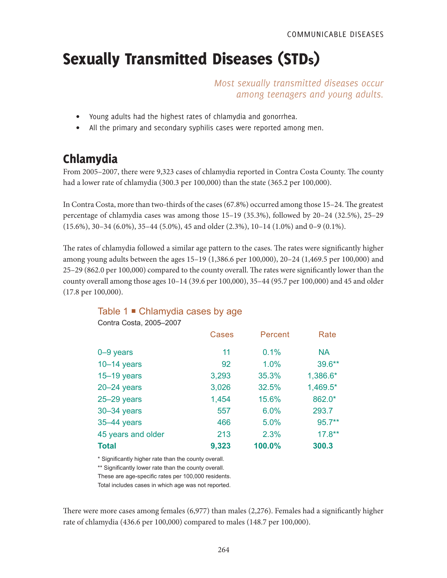# Sexually Transmitted Diseases (STDs)

*Most sexually transmitted diseases occur among teenagers and young adults.*

- Young adults had the highest rates of chlamydia and gonorrhea.
- All the primary and secondary syphilis cases were reported among men.

# Chlamydia

From 2005–2007, there were 9,323 cases of chlamydia reported in Contra Costa County. The county had a lower rate of chlamydia (300.3 per 100,000) than the state (365.2 per 100,000).

In Contra Costa, more than two-thirds of the cases (67.8%) occurred among those 15–24. The greatest percentage of chlamydia cases was among those 15–19 (35.3%), followed by 20–24 (32.5%), 25–29 (15.6%), 30–34 (6.0%), 35–44 (5.0%), 45 and older (2.3%), 10–14 (1.0%) and 0–9 (0.1%).

The rates of chlamydia followed a similar age pattern to the cases. The rates were significantly higher among young adults between the ages 15–19 (1,386.6 per 100,000), 20–24 (1,469.5 per 100,000) and 25–29 (862.0 per 100,000) compared to the county overall. The rates were significantly lower than the county overall among those ages 10–14 (39.6 per 100,000), 35–44 (95.7 per 100,000) and 45 and older (17.8 per 100,000).

# Cases Percent Rate 0–9 years 11 0.1% NA 10–14 years 92 1.0% 39.6\*\* 15–19 years 3,293 35.3% 1,386.6\* 20–24 years 3,026 32.5% 1,469.5\* 25–29 years 1,454 15.6% 862.0\* 30–34 years 557 6.0% 293.7 35–44 years 466 5.0% 95.7\*\* 45 years and older 213 2.3% 17.8\*\* **Total 9,323 100.0% 300.3**

### Table 1 **■** Chlamydia cases by age

Contra Costa, 2005–2007

\* Significantly higher rate than the county overall.

\*\* Significantly lower rate than the county overall.

These are age-specific rates per 100,000 residents.

Total includes cases in which age was not reported.

There were more cases among females (6,977) than males (2,276). Females had a significantly higher rate of chlamydia (436.6 per 100,000) compared to males (148.7 per 100,000).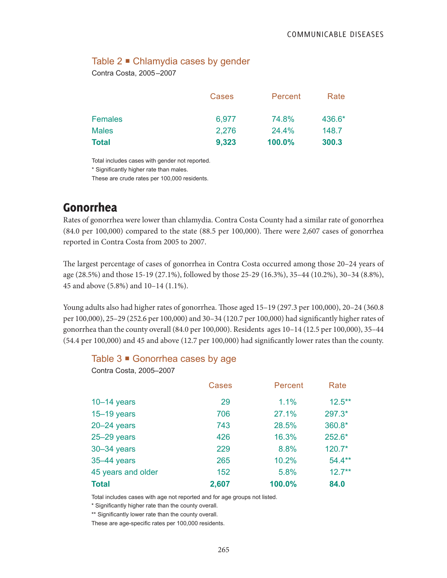### Table 2 **■** Chlamydia cases by gender

Contra Costa, 2005–2007

|                | Cases | Percent | Rate   |
|----------------|-------|---------|--------|
| <b>Females</b> | 6,977 | 74.8%   | 436.6* |
| <b>Males</b>   | 2,276 | 24.4%   | 148.7  |
| <b>Total</b>   | 9,323 | 100.0%  | 300.3  |

Total includes cases with gender not reported.

\* Significantly higher rate than males.

These are crude rates per 100,000 residents.

# Gonorrhea

Rates of gonorrhea were lower than chlamydia. Contra Costa County had a similar rate of gonorrhea (84.0 per 100,000) compared to the state (88.5 per 100,000). There were 2,607 cases of gonorrhea reported in Contra Costa from 2005 to 2007.

The largest percentage of cases of gonorrhea in Contra Costa occurred among those 20–24 years of age (28.5%) and those 15-19 (27.1%), followed by those 25-29 (16.3%), 35–44 (10.2%), 30–34 (8.8%), 45 and above (5.8%) and 10–14 (1.1%).

Young adults also had higher rates of gonorrhea. Those aged 15–19 (297.3 per 100,000), 20–24 (360.8 per 100,000), 25–29 (252.6 per 100,000) and 30–34 (120.7 per 100,000) had significantly higher rates of gonorrhea than the county overall (84.0 per 100,000). Residents ages 10–14 (12.5 per 100,000), 35–44 (54.4 per 100,000) and 45 and above (12.7 per 100,000) had significantly lower rates than the county.

#### Table 3 ■ Gonorrhea cases by age

Contra Costa, 2005–2007

|                    | <b>Cases</b> | Percent | Rate      |
|--------------------|--------------|---------|-----------|
| $10-14$ years      | 29           | 1.1%    | $12.5***$ |
| $15 - 19$ years    | 706          | 27.1%   | 297.3*    |
| $20 - 24$ years    | 743          | 28.5%   | 360.8*    |
| $25 - 29$ years    | 426          | 16.3%   | 252.6*    |
| 30-34 years        | 229          | 8.8%    | $120.7*$  |
| 35-44 years        | 265          | 10.2%   | $54.4***$ |
| 45 years and older | 152          | 5.8%    | $12.7***$ |
| <b>Total</b>       | 2,607        | 100.0%  | 84.0      |

Total includes cases with age not reported and for age groups not listed.

\* Significantly higher rate than the county overall.

\*\* Significantly lower rate than the county overall.

These are age-specific rates per 100,000 residents.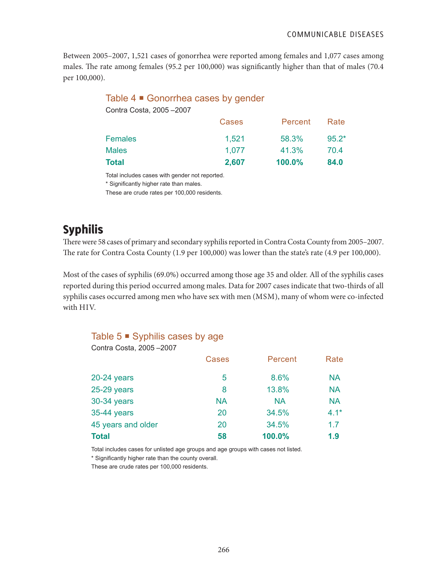Between 2005–2007, 1,521 cases of gonorrhea were reported among females and 1,077 cases among males. The rate among females (95.2 per 100,000) was significantly higher than that of males (70.4 per 100,000).

| Table 4 ■ Gonorrhea cases by gender |       |         |         |
|-------------------------------------|-------|---------|---------|
| Contra Costa, 2005-2007             |       |         |         |
|                                     | Cases | Percent | Rate    |
| <b>Females</b>                      | 1,521 | 58.3%   | $95.2*$ |
| <b>Males</b>                        | 1,077 | 41.3%   | 70.4    |
| Total                               | 2,607 | 100.0%  | 84.0    |
|                                     |       |         |         |

Total includes cases with gender not reported.

\* Significantly higher rate than males.

These are crude rates per 100,000 residents.

# Syphilis

There were 58 cases of primary and secondary syphilis reported in Contra Costa County from 2005–2007. The rate for Contra Costa County (1.9 per 100,000) was lower than the state's rate (4.9 per 100,000).

Most of the cases of syphilis (69.0%) occurred among those age 35 and older. All of the syphilis cases reported during this period occurred among males. Data for 2007 cases indicate that two-thirds of all syphilis cases occurred among men who have sex with men (MSM), many of whom were co-infected with HIV.

### Table  $5 \blacksquare$  Syphilis cases by age

| Contra Costa, 2005-2007 |              |           |           |
|-------------------------|--------------|-----------|-----------|
|                         | <b>Cases</b> | Percent   | Rate      |
| $20-24$ years           | 5            | 8.6%      | <b>NA</b> |
| 25-29 years             | 8            | 13.8%     | <b>NA</b> |
| 30-34 years             | <b>NA</b>    | <b>NA</b> | <b>NA</b> |
| 35-44 years             | 20           | 34.5%     | $4.1*$    |
| 45 years and older      | 20           | 34.5%     | 1.7       |
| <b>Total</b>            | 58           | 100.0%    | 1.9       |

Total includes cases for unlisted age groups and age groups with cases not listed.

\* Significantly higher rate than the county overall.

These are crude rates per 100,000 residents.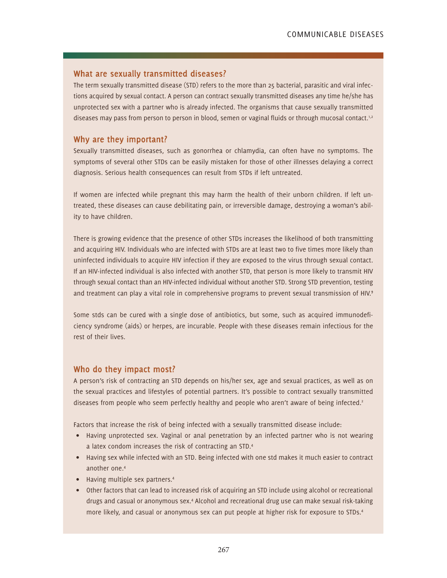#### **What are sexually transmitted diseases?**

The term sexually transmitted disease (STD) refers to the more than 25 bacterial, parasitic and viral infections acquired by sexual contact. A person can contract sexually transmitted diseases any time he/she has unprotected sex with a partner who is already infected. The organisms that cause sexually transmitted diseases may pass from person to person in blood, semen or vaginal fluids or through mucosal contact.<sup>1,2</sup>

#### **Why are they important?**

Sexually transmitted diseases, such as gonorrhea or chlamydia, can often have no symptoms. The symptoms of several other STDs can be easily mistaken for those of other illnesses delaying a correct diagnosis. Serious health consequences can result from STDs if left untreated.

If women are infected while pregnant this may harm the health of their unborn children. If left untreated, these diseases can cause debilitating pain, or irreversible damage, destroying a woman's ability to have children.

There is growing evidence that the presence of other STDs increases the likelihood of both transmitting and acquiring HIV. Individuals who are infected with STDs are at least two to five times more likely than uninfected individuals to acquire HIV infection if they are exposed to the virus through sexual contact. If an HIV-infected individual is also infected with another STD, that person is more likely to transmit HIV through sexual contact than an HIV-infected individual without another STD. Strong STD prevention, testing and treatment can play a vital role in comprehensive programs to prevent sexual transmission of HIV.<sup>3</sup>

Some stds can be cured with a single dose of antibiotics, but some, such as acquired immunodeficiency syndrome (aids) or herpes, are incurable. People with these diseases remain infectious for the rest of their lives.

#### **Who do they impact most?**

A person's risk of contracting an STD depends on his/her sex, age and sexual practices, as well as on the sexual practices and lifestyles of potential partners. It's possible to contract sexually transmitted diseases from people who seem perfectly healthy and people who aren't aware of being infected.<sup>2</sup>

Factors that increase the risk of being infected with a sexually transmitted disease include:

- Having unprotected sex. Vaginal or anal penetration by an infected partner who is not wearing a latex condom increases the risk of contracting an STD.4
- Having sex while infected with an STD. Being infected with one std makes it much easier to contract another one.4
- Having multiple sex partners.<sup>4</sup>
- Other factors that can lead to increased risk of acquiring an STD include using alcohol or recreational drugs and casual or anonymous sex.4 Alcohol and recreational drug use can make sexual risk-taking more likely, and casual or anonymous sex can put people at higher risk for exposure to STDs.4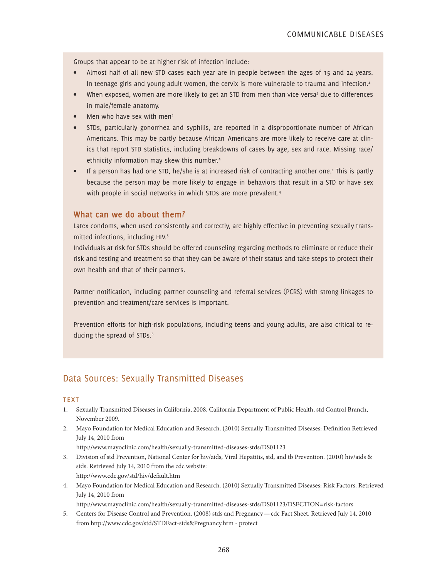Groups that appear to be at higher risk of infection include:

- Almost half of all new STD cases each year are in people between the ages of 15 and 24 years. In teenage girls and young adult women, the cervix is more vulnerable to trauma and infection.<sup>4</sup>
- When exposed, women are more likely to get an STD from men than vice versa<sup>4</sup> due to differences in male/female anatomy.
- Men who have sex with men<sup>4</sup>
- STDs, particularly gonorrhea and syphilis, are reported in a disproportionate number of African Americans. This may be partly because African Americans are more likely to receive care at clinics that report STD statistics, including breakdowns of cases by age, sex and race. Missing race/ ethnicity information may skew this number.4
- If a person has had one STD, he/she is at increased risk of contracting another one.<sup>4</sup> This is partly because the person may be more likely to engage in behaviors that result in a STD or have sex with people in social networks in which STDs are more prevalent.<sup>4</sup>

#### **What can we do about them?**

Latex condoms, when used consistently and correctly, are highly effective in preventing sexually transmitted infections, including HIV.<sup>5</sup>

Individuals at risk for STDs should be offered counseling regarding methods to eliminate or reduce their risk and testing and treatment so that they can be aware of their status and take steps to protect their own health and that of their partners.

Partner notification, including partner counseling and referral services (PCRS) with strong linkages to prevention and treatment/care services is important.

Prevention efforts for high-risk populations, including teens and young adults, are also critical to reducing the spread of STDs.<sup>6</sup>

### Data Sources: Sexually Transmitted Diseases

#### **TFXT**

- 1. Sexually Transmitted Diseases in California, 2008. California Department of Public Health, std Control Branch, November 2009.
- 2. Mayo Foundation for Medical Education and Research. (2010) Sexually Transmitted Diseases: Definition Retrieved July 14, 2010 from

http://www.mayoclinic.com/health/sexually-transmitted-diseases-stds/DS01123

- 3. Division of std Prevention, National Center for hiv/aids, Viral Hepatitis, std, and tb Prevention. (2010) hiv/aids & stds. Retrieved July 14, 2010 from the cdc website: http://www.cdc.gov/std/hiv/default.htm
- 4. Mayo Foundation for Medical Education and Research. (2010) Sexually Transmitted Diseases: Risk Factors. Retrieved July 14, 2010 from

http://www.mayoclinic.com/health/sexually-transmitted-diseases-stds/DS01123/DSECTION=risk-factors

5. Centers for Disease Control and Prevention. (2008) stds and Pregnancy—cdc Fact Sheet. Retrieved July 14, 2010 from http://www.cdc.gov/std/STDFact-stds&Pregnancy.htm - protect